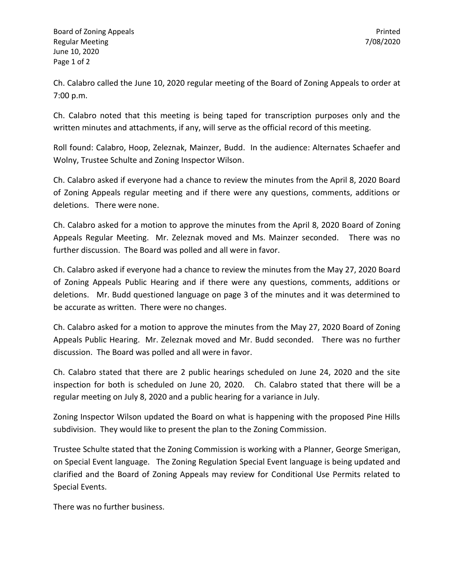Ch. Calabro called the June 10, 2020 regular meeting of the Board of Zoning Appeals to order at 7:00 p.m.

Ch. Calabro noted that this meeting is being taped for transcription purposes only and the written minutes and attachments, if any, will serve as the official record of this meeting.

Roll found: Calabro, Hoop, Zeleznak, Mainzer, Budd. In the audience: Alternates Schaefer and Wolny, Trustee Schulte and Zoning Inspector Wilson.

Ch. Calabro asked if everyone had a chance to review the minutes from the April 8, 2020 Board of Zoning Appeals regular meeting and if there were any questions, comments, additions or deletions. There were none.

Ch. Calabro asked for a motion to approve the minutes from the April 8, 2020 Board of Zoning Appeals Regular Meeting. Mr. Zeleznak moved and Ms. Mainzer seconded. There was no further discussion. The Board was polled and all were in favor.

Ch. Calabro asked if everyone had a chance to review the minutes from the May 27, 2020 Board of Zoning Appeals Public Hearing and if there were any questions, comments, additions or deletions. Mr. Budd questioned language on page 3 of the minutes and it was determined to be accurate as written. There were no changes.

Ch. Calabro asked for a motion to approve the minutes from the May 27, 2020 Board of Zoning Appeals Public Hearing. Mr. Zeleznak moved and Mr. Budd seconded. There was no further discussion. The Board was polled and all were in favor.

Ch. Calabro stated that there are 2 public hearings scheduled on June 24, 2020 and the site inspection for both is scheduled on June 20, 2020. Ch. Calabro stated that there will be a regular meeting on July 8, 2020 and a public hearing for a variance in July.

Zoning Inspector Wilson updated the Board on what is happening with the proposed Pine Hills subdivision. They would like to present the plan to the Zoning Commission.

Trustee Schulte stated that the Zoning Commission is working with a Planner, George Smerigan, on Special Event language. The Zoning Regulation Special Event language is being updated and clarified and the Board of Zoning Appeals may review for Conditional Use Permits related to Special Events.

There was no further business.